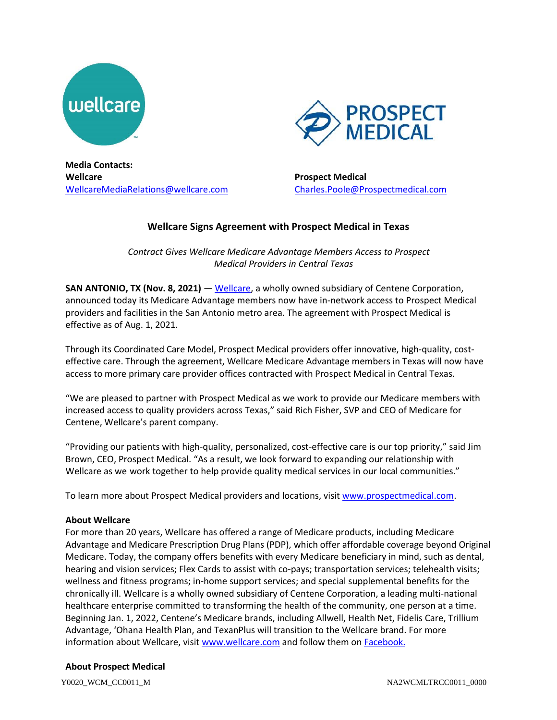



**Media Contacts: Wellcare** [WellcareMediaRelations@wellcare.com](mailto:WellcareMediaRelations@wellcare.com)

**Prospect Medical** [Charles.Poole@Prospectmedical.com](mailto:Charles.Poole@Prospectmedical.com)

## **Wellcare Signs Agreement with Prospect Medical in Texas**

*Contract Gives Wellcare Medicare Advantage Members Access to Prospect Medical Providers in Central Texas* 

**SAN ANTONIO, TX (Nov. 8, 2021)** — [Wellcare,](http://www.wellcare.com/) a wholly owned subsidiary of Centene Corporation, announced today its Medicare Advantage members now have in-network access to Prospect Medical providers and facilities in the San Antonio metro area. The agreement with Prospect Medical is effective as of Aug. 1, 2021.

Through its Coordinated Care Model, Prospect Medical providers offer innovative, high-quality, costeffective care. Through the agreement, Wellcare Medicare Advantage members in Texas will now have access to more primary care provider offices contracted with Prospect Medical in Central Texas.

"We are pleased to partner with Prospect Medical as we work to provide our Medicare members with increased access to quality providers across Texas," said Rich Fisher, SVP and CEO of Medicare for Centene, Wellcare's parent company.

"Providing our patients with high-quality, personalized, cost-effective care is our top priority," said Jim Brown, CEO, Prospect Medical. "As a result, we look forward to expanding our relationship with Wellcare as we work together to help provide quality medical services in our local communities."

To learn more about Prospect Medical providers and locations, visit [www.prospectmedical.com.](http://www.prospectmedical.com/)

## **About Wellcare**

For more than 20 years, Wellcare has offered a range of Medicare products, including Medicare Advantage and Medicare Prescription Drug Plans (PDP), which offer affordable coverage beyond Original Medicare. Today, the company offers benefits with every Medicare beneficiary in mind, such as dental, hearing and vision services; Flex Cards to assist with co-pays; transportation services; telehealth visits; wellness and fitness programs; in-home support services; and special supplemental benefits for the chronically ill. Wellcare is a wholly owned subsidiary of Centene Corporation, a leading multi-national healthcare enterprise committed to transforming the health of the community, one person at a time. Beginning Jan. 1, 2022, Centene's Medicare brands, including Allwell, Health Net, Fidelis Care, Trillium Advantage, 'Ohana Health Plan, and TexanPlus will transition to the Wellcare brand. For more information about Wellcare, visi[t www.wellcare.com](http://www.wellcare.com/) and follow them on [Facebook.](https://www.facebook.com/WellCareHealthPlans/)

## **About Prospect Medical**